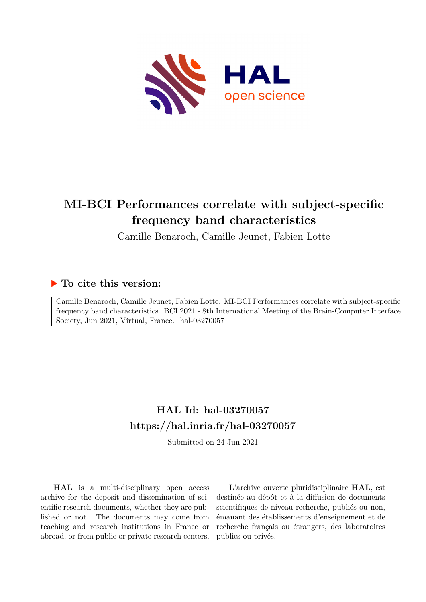

# **MI-BCI Performances correlate with subject-specific frequency band characteristics**

Camille Benaroch, Camille Jeunet, Fabien Lotte

#### **To cite this version:**

Camille Benaroch, Camille Jeunet, Fabien Lotte. MI-BCI Performances correlate with subject-specific frequency band characteristics. BCI 2021 - 8th International Meeting of the Brain-Computer Interface Society, Jun 2021, Virtual, France. hal-03270057

### **HAL Id: hal-03270057 <https://hal.inria.fr/hal-03270057>**

Submitted on 24 Jun 2021

**HAL** is a multi-disciplinary open access archive for the deposit and dissemination of scientific research documents, whether they are published or not. The documents may come from teaching and research institutions in France or abroad, or from public or private research centers.

L'archive ouverte pluridisciplinaire **HAL**, est destinée au dépôt et à la diffusion de documents scientifiques de niveau recherche, publiés ou non, émanant des établissements d'enseignement et de recherche français ou étrangers, des laboratoires publics ou privés.